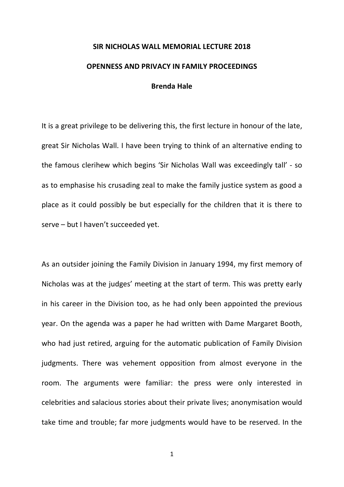## **SIR NICHOLAS WALL MEMORIAL LECTURE 2018 OPENNESS AND PRIVACY IN FAMILY PROCEEDINGS Brenda Hale**

It is a great privilege to be delivering this, the first lecture in honour of the late, great Sir Nicholas Wall. I have been trying to think of an alternative ending to the famous clerihew which begins 'Sir Nicholas Wall was exceedingly tall' - so as to emphasise his crusading zeal to make the family justice system as good a place as it could possibly be but especially for the children that it is there to serve – but I haven't succeeded yet.

As an outsider joining the Family Division in January 1994, my first memory of Nicholas was at the judges' meeting at the start of term. This was pretty early in his career in the Division too, as he had only been appointed the previous year. On the agenda was a paper he had written with Dame Margaret Booth, who had just retired, arguing for the automatic publication of Family Division judgments. There was vehement opposition from almost everyone in the room. The arguments were familiar: the press were only interested in celebrities and salacious stories about their private lives; anonymisation would take time and trouble; far more judgments would have to be reserved. In the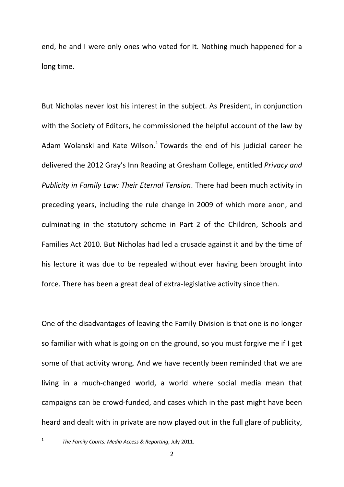end, he and I were only ones who voted for it. Nothing much happened for a long time.

But Nicholas never lost his interest in the subject. As President, in conjunction with the Society of Editors, he commissioned the helpful account of the law by Adam Wolanski and Kate Wilson.<sup>1</sup> Towards the end of his judicial career he delivered the 2012 Gray's Inn Reading at Gresham College, entitled *Privacy and Publicity in Family Law: Their Eternal Tension*. There had been much activity in preceding years, including the rule change in 2009 of which more anon, and culminating in the statutory scheme in Part 2 of the Children, Schools and Families Act 2010. But Nicholas had led a crusade against it and by the time of his lecture it was due to be repealed without ever having been brought into force. There has been a great deal of extra-legislative activity since then.

One of the disadvantages of leaving the Family Division is that one is no longer so familiar with what is going on on the ground, so you must forgive me if I get some of that activity wrong. And we have recently been reminded that we are living in a much-changed world, a world where social media mean that campaigns can be crowd-funded, and cases which in the past might have been heard and dealt with in private are now played out in the full glare of publicity,

 <sup>1</sup> *The Family Courts: Media Access & Reporting*, July 2011.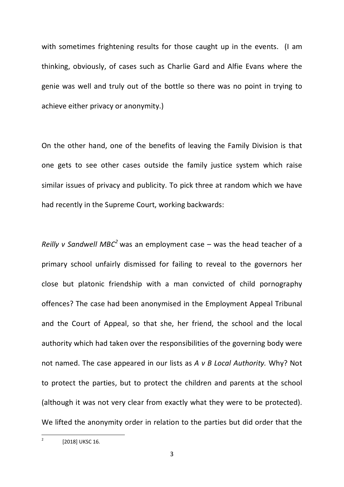with sometimes frightening results for those caught up in the events. (I am thinking, obviously, of cases such as Charlie Gard and Alfie Evans where the genie was well and truly out of the bottle so there was no point in trying to achieve either privacy or anonymity.)

On the other hand, one of the benefits of leaving the Family Division is that one gets to see other cases outside the family justice system which raise similar issues of privacy and publicity. To pick three at random which we have had recently in the Supreme Court, working backwards:

*Reilly v Sandwell MBC<sup>2</sup>* was an employment case – was the head teacher of a primary school unfairly dismissed for failing to reveal to the governors her close but platonic friendship with a man convicted of child pornography offences? The case had been anonymised in the Employment Appeal Tribunal and the Court of Appeal, so that she, her friend, the school and the local authority which had taken over the responsibilities of the governing body were not named. The case appeared in our lists as *A v B Local Authority.* Why? Not to protect the parties, but to protect the children and parents at the school (although it was not very clear from exactly what they were to be protected). We lifted the anonymity order in relation to the parties but did order that the

 $2$  [2018] UKSC 16.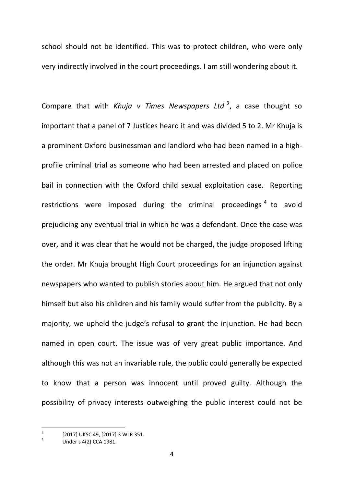school should not be identified. This was to protect children, who were only very indirectly involved in the court proceedings. I am still wondering about it.

Compare that with *Khuja v Times Newspapers Ltd*<sup>3</sup>, a case thought so important that a panel of 7 Justices heard it and was divided 5 to 2. Mr Khuja is a prominent Oxford businessman and landlord who had been named in a highprofile criminal trial as someone who had been arrested and placed on police bail in connection with the Oxford child sexual exploitation case. Reporting restrictions were imposed during the criminal proceedings<sup>4</sup> to avoid prejudicing any eventual trial in which he was a defendant. Once the case was over, and it was clear that he would not be charged, the judge proposed lifting the order. Mr Khuja brought High Court proceedings for an injunction against newspapers who wanted to publish stories about him. He argued that not only himself but also his children and his family would suffer from the publicity. By a majority, we upheld the judge's refusal to grant the injunction. He had been named in open court. The issue was of very great public importance. And although this was not an invariable rule, the public could generally be expected to know that a person was innocent until proved guilty. Although the possibility of privacy interests outweighing the public interest could not be

 $\frac{3}{4}$  [2017] UKSC 49, [2017] 3 WLR 351.<br>4 Under s 4(2) CCA 1981.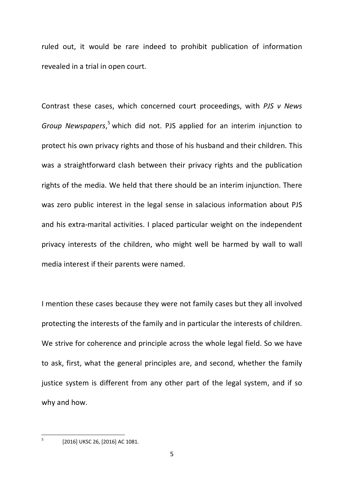ruled out, it would be rare indeed to prohibit publication of information revealed in a trial in open court.

Contrast these cases, which concerned court proceedings, with *PJS v News Group Newspapers*, <sup>5</sup> which did not. PJS applied for an interim injunction to protect his own privacy rights and those of his husband and their children. This was a straightforward clash between their privacy rights and the publication rights of the media. We held that there should be an interim injunction. There was zero public interest in the legal sense in salacious information about PJS and his extra-marital activities. I placed particular weight on the independent privacy interests of the children, who might well be harmed by wall to wall media interest if their parents were named.

I mention these cases because they were not family cases but they all involved protecting the interests of the family and in particular the interests of children. We strive for coherence and principle across the whole legal field. So we have to ask, first, what the general principles are, and second, whether the family justice system is different from any other part of the legal system, and if so why and how.

 $^{5}$  [2016] UKSC 26, [2016] AC 1081.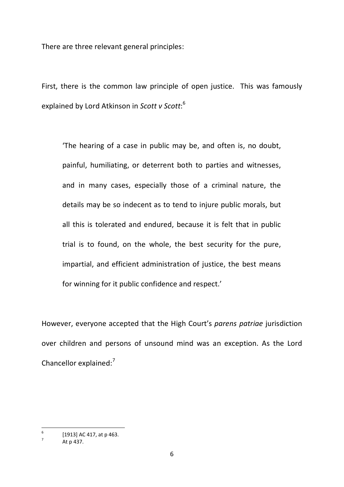There are three relevant general principles:

First, there is the common law principle of open justice. This was famously explained by Lord Atkinson in *Scott v Scott*: 6

'The hearing of a case in public may be, and often is, no doubt, painful, humiliating, or deterrent both to parties and witnesses, and in many cases, especially those of a criminal nature, the details may be so indecent as to tend to injure public morals, but all this is tolerated and endured, because it is felt that in public trial is to found, on the whole, the best security for the pure, impartial, and efficient administration of justice, the best means for winning for it public confidence and respect.'

However, everyone accepted that the High Court's *parens patriae* jurisdiction over children and persons of unsound mind was an exception. As the Lord Chancellor explained: $<sup>7</sup>$ </sup>

 $^{6}$  [1913] AC 417, at p 463.<br>
At p 437.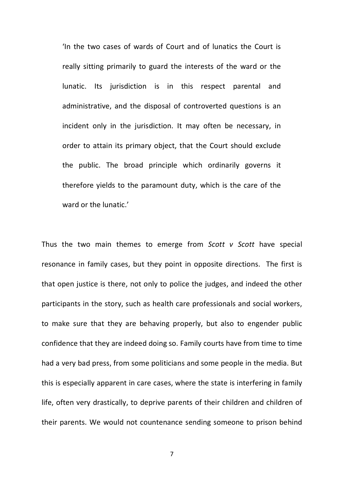'In the two cases of wards of Court and of lunatics the Court is really sitting primarily to guard the interests of the ward or the lunatic. Its jurisdiction is in this respect parental and administrative, and the disposal of controverted questions is an incident only in the jurisdiction. It may often be necessary, in order to attain its primary object, that the Court should exclude the public. The broad principle which ordinarily governs it therefore yields to the paramount duty, which is the care of the ward or the lunatic.'

Thus the two main themes to emerge from *Scott v Scott* have special resonance in family cases, but they point in opposite directions. The first is that open justice is there, not only to police the judges, and indeed the other participants in the story, such as health care professionals and social workers, to make sure that they are behaving properly, but also to engender public confidence that they are indeed doing so. Family courts have from time to time had a very bad press, from some politicians and some people in the media. But this is especially apparent in care cases, where the state is interfering in family life, often very drastically, to deprive parents of their children and children of their parents. We would not countenance sending someone to prison behind

7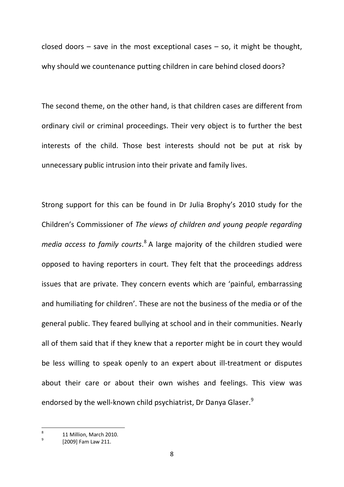closed doors  $-$  save in the most exceptional cases  $-$  so, it might be thought, why should we countenance putting children in care behind closed doors?

The second theme, on the other hand, is that children cases are different from ordinary civil or criminal proceedings. Their very object is to further the best interests of the child. Those best interests should not be put at risk by unnecessary public intrusion into their private and family lives.

Strong support for this can be found in Dr Julia Brophy's 2010 study for the Children's Commissioner of *The views of children and young people regarding media access to family courts*. <sup>8</sup> A large majority of the children studied were opposed to having reporters in court. They felt that the proceedings address issues that are private. They concern events which are 'painful, embarrassing and humiliating for children'. These are not the business of the media or of the general public. They feared bullying at school and in their communities. Nearly all of them said that if they knew that a reporter might be in court they would be less willing to speak openly to an expert about ill-treatment or disputes about their care or about their own wishes and feelings. This view was endorsed by the well-known child psychiatrist, Dr Danya Glaser.<sup>9</sup>

 $\frac{8}{9}$  11 Million, March 2010.<br>[2009] Fam Law 211.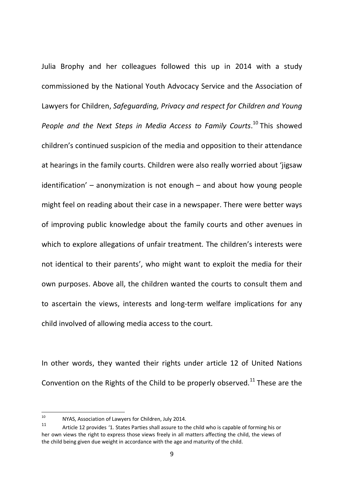Julia Brophy and her colleagues followed this up in 2014 with a study commissioned by the National Youth Advocacy Service and the Association of Lawyers for Children, *Safeguarding, Privacy and respect for Children and Young*  People and the Next Steps in Media Access to Family Courts.<sup>10</sup> This showed children's continued suspicion of the media and opposition to their attendance at hearings in the family courts. Children were also really worried about 'jigsaw identification' – anonymization is not enough – and about how young people might feel on reading about their case in a newspaper. There were better ways of improving public knowledge about the family courts and other avenues in which to explore allegations of unfair treatment. The children's interests were not identical to their parents', who might want to exploit the media for their own purposes. Above all, the children wanted the courts to consult them and to ascertain the views, interests and long-term welfare implications for any child involved of allowing media access to the court.

In other words, they wanted their rights under article 12 of United Nations Convention on the Rights of the Child to be properly observed.<sup>11</sup> These are the

<sup>10</sup> NYAS, Association of Lawyers for Children, July 2014.

Article 12 provides '1. States Parties shall assure to the child who is capable of forming his or her own views the right to express those views freely in all matters affecting the child, the views of the child being given due weight in accordance with the age and maturity of the child.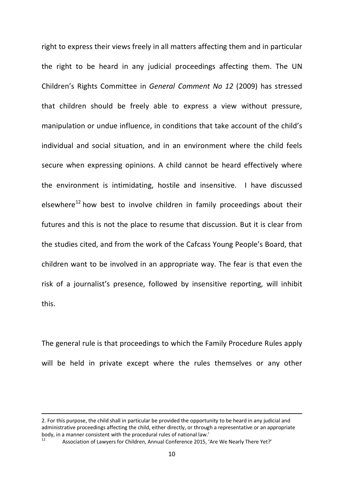right to express their views freely in all matters affecting them and in particular the right to be heard in any judicial proceedings affecting them. The UN Children's Rights Committee in *General Comment No 12* (2009) has stressed that children should be freely able to express a view without pressure, manipulation or undue influence, in conditions that take account of the child's individual and social situation, and in an environment where the child feels secure when expressing opinions. A child cannot be heard effectively where the environment is intimidating, hostile and insensitive. I have discussed elsewhere $^{12}$  how best to involve children in family proceedings about their futures and this is not the place to resume that discussion. But it is clear from the studies cited, and from the work of the Cafcass Young People's Board, that children want to be involved in an appropriate way. The fear is that even the risk of a journalist's presence, followed by insensitive reporting, will inhibit this.

The general rule is that proceedings to which the Family Procedure Rules apply will be held in private except where the rules themselves or any other

-

<sup>2.</sup> For this purpose, the child shall in particular be provided the opportunity to be heard in any judicial and administrative proceedings affecting the child, either directly, or through a representative or an appropriate body, in a manner consistent with the procedural rules of national law.'<br><sup>12</sup> Association of Lawyers for Children, Annual Conference 2015, 'Are We Nearly There Yet?'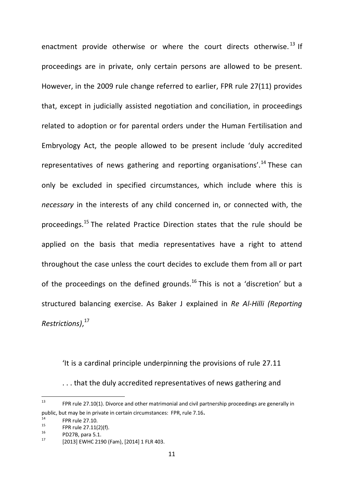enactment provide otherwise or where the court directs otherwise.<sup>13</sup> If proceedings are in private, only certain persons are allowed to be present. However, in the 2009 rule change referred to earlier, FPR rule 27(11) provides that, except in judicially assisted negotiation and conciliation, in proceedings related to adoption or for parental orders under the Human Fertilisation and Embryology Act, the people allowed to be present include 'duly accredited representatives of news gathering and reporting organisations'.<sup>14</sup> These can only be excluded in specified circumstances, which include where this is *necessary* in the interests of any child concerned in, or connected with, the proceedings.<sup>15</sup> The related Practice Direction states that the rule should be applied on the basis that media representatives have a right to attend throughout the case unless the court decides to exclude them from all or part of the proceedings on the defined grounds.<sup>16</sup> This is not a 'discretion' but a structured balancing exercise. As Baker J explained in *Re Al-Hilli (Reporting Restrictions)*, 17

'It is a cardinal principle underpinning the provisions of rule 27.11 . . . that the duly accredited representatives of news gathering and

<sup>&</sup>lt;sup>13</sup> FPR rule 27.10(1). Divorce and other matrimonial and civil partnership proceedings are generally in public, but may be in private in certain circumstances: FPR, rule 7.16.<br>
<sup>14</sup> FPR rule 27.11(2)(f).<br>
<sup>15</sup> PD27B, para 5.1.<br>
<sup>17</sup> [2013] EWHC 2190 (Fam), [2014] 1 FLR 403.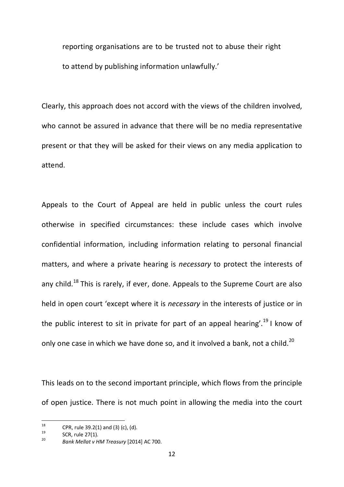reporting organisations are to be trusted not to abuse their right to attend by publishing information unlawfully.'

Clearly, this approach does not accord with the views of the children involved, who cannot be assured in advance that there will be no media representative present or that they will be asked for their views on any media application to attend.

Appeals to the Court of Appeal are held in public unless the court rules otherwise in specified circumstances: these include cases which involve confidential information, including information relating to personal financial matters, and where a private hearing is *necessary* to protect the interests of any child.<sup>18</sup> This is rarely, if ever, done. Appeals to the Supreme Court are also held in open court 'except where it is *necessary* in the interests of justice or in the public interest to sit in private for part of an appeal hearing'.<sup>19</sup> I know of only one case in which we have done so, and it involved a bank, not a child.<sup>20</sup>

This leads on to the second important principle, which flows from the principle of open justice. There is not much point in allowing the media into the court

<sup>18</sup> CPR, rule 39.2(1) and (3) (c), (d). <sup>19</sup> SCR, rule 27(1). <sup>20</sup> *Bank Mellat v HM Treasury* [2014] AC 700.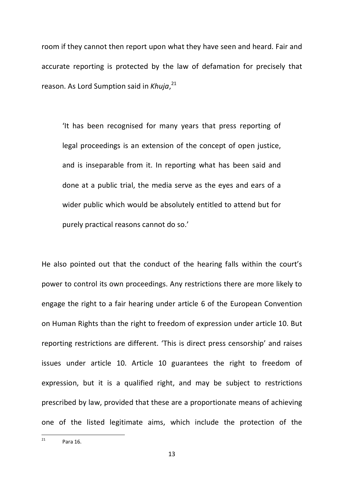room if they cannot then report upon what they have seen and heard. Fair and accurate reporting is protected by the law of defamation for precisely that reason. As Lord Sumption said in *Khuja*, 21

'It has been recognised for many years that press reporting of legal proceedings is an extension of the concept of open justice, and is inseparable from it. In reporting what has been said and done at a public trial, the media serve as the eyes and ears of a wider public which would be absolutely entitled to attend but for purely practical reasons cannot do so.'

He also pointed out that the conduct of the hearing falls within the court's power to control its own proceedings. Any restrictions there are more likely to engage the right to a fair hearing under article 6 of the European Convention on Human Rights than the right to freedom of expression under article 10. But reporting restrictions are different. 'This is direct press censorship' and raises issues under article 10. Article 10 guarantees the right to freedom of expression, but it is a qualified right, and may be subject to restrictions prescribed by law, provided that these are a proportionate means of achieving one of the listed legitimate aims, which include the protection of the

 $^{21}$  Para 16.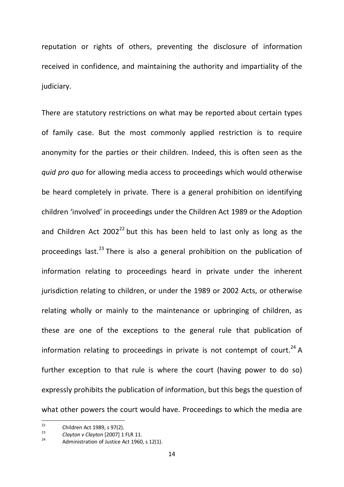reputation or rights of others, preventing the disclosure of information received in confidence, and maintaining the authority and impartiality of the judiciary.

There are statutory restrictions on what may be reported about certain types of family case. But the most commonly applied restriction is to require anonymity for the parties or their children. Indeed, this is often seen as the *quid pro quo* for allowing media access to proceedings which would otherwise be heard completely in private. There is a general prohibition on identifying children 'involved' in proceedings under the Children Act 1989 or the Adoption and Children Act  $2002^{22}$  but this has been held to last only as long as the proceedings last.<sup>23</sup> There is also a general prohibition on the publication of information relating to proceedings heard in private under the inherent jurisdiction relating to children, or under the 1989 or 2002 Acts, or otherwise relating wholly or mainly to the maintenance or upbringing of children, as these are one of the exceptions to the general rule that publication of information relating to proceedings in private is not contempt of court.<sup>24</sup> A further exception to that rule is where the court (having power to do so) expressly prohibits the publication of information, but this begs the question of what other powers the court would have. Proceedings to which the media are

<sup>&</sup>lt;sup>22</sup> Children Act 1989, s 97(2).<br><sup>23</sup> *Clayton v Clayton* [2007] 1 FLR 11.<br><sup>24</sup> Administration of Justice Act 1960, s 12(1).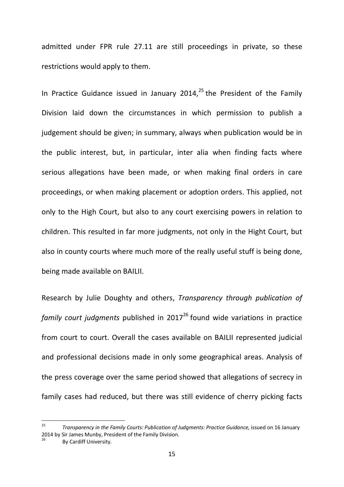admitted under FPR rule 27.11 are still proceedings in private, so these restrictions would apply to them.

In Practice Guidance issued in January 2014, $^{25}$  the President of the Family Division laid down the circumstances in which permission to publish a judgement should be given; in summary, always when publication would be in the public interest, but, in particular, inter alia when finding facts where serious allegations have been made, or when making final orders in care proceedings, or when making placement or adoption orders. This applied, not only to the High Court, but also to any court exercising powers in relation to children. This resulted in far more judgments, not only in the Hight Court, but also in county courts where much more of the really useful stuff is being done, being made available on BAILII.

Research by Julie Doughty and others, *Transparency through publication of family court judgments* published in 2017<sup>26</sup> found wide variations in practice from court to court. Overall the cases available on BAILII represented judicial and professional decisions made in only some geographical areas. Analysis of the press coverage over the same period showed that allegations of secrecy in family cases had reduced, but there was still evidence of cherry picking facts

<sup>&</sup>lt;sup>25</sup> *Transparency in the Family Courts: Publication of Judaments: Practice Guidance, issued on 16 January* 2014 by Sir James Munby, President of the Family Division.<br><sup>26</sup> By Cardiff University.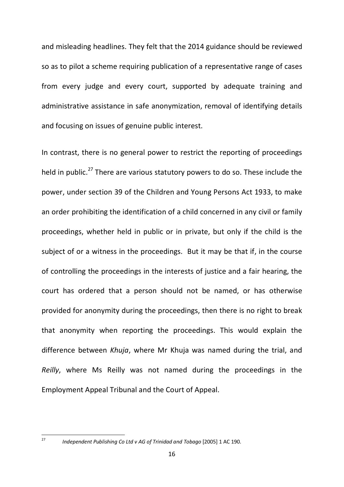and misleading headlines. They felt that the 2014 guidance should be reviewed so as to pilot a scheme requiring publication of a representative range of cases from every judge and every court, supported by adequate training and administrative assistance in safe anonymization, removal of identifying details and focusing on issues of genuine public interest.

In contrast, there is no general power to restrict the reporting of proceedings held in public.<sup>27</sup> There are various statutory powers to do so. These include the power, under section 39 of the Children and Young Persons Act 1933, to make an order prohibiting the identification of a child concerned in any civil or family proceedings, whether held in public or in private, but only if the child is the subject of or a witness in the proceedings. But it may be that if, in the course of controlling the proceedings in the interests of justice and a fair hearing, the court has ordered that a person should not be named, or has otherwise provided for anonymity during the proceedings, then there is no right to break that anonymity when reporting the proceedings. This would explain the difference between *Khuja*, where Mr Khuja was named during the trial, and *Reilly*, where Ms Reilly was not named during the proceedings in the Employment Appeal Tribunal and the Court of Appeal.

 <sup>27</sup> *Independent Publishing Co Ltd v AG of Trinidad and Tobago* [2005] 1 AC 190.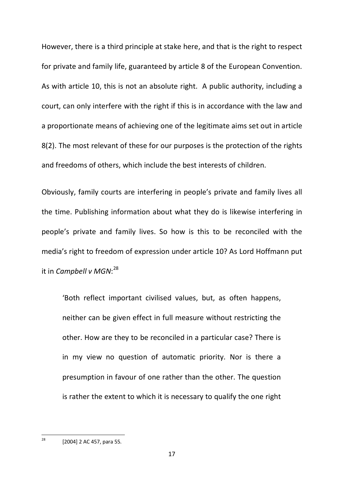However, there is a third principle at stake here, and that is the right to respect for private and family life, guaranteed by article 8 of the European Convention. As with article 10, this is not an absolute right. A public authority, including a court, can only interfere with the right if this is in accordance with the law and a proportionate means of achieving one of the legitimate aims set out in article 8(2). The most relevant of these for our purposes is the protection of the rights and freedoms of others, which include the best interests of children.

Obviously, family courts are interfering in people's private and family lives all the time. Publishing information about what they do is likewise interfering in people's private and family lives. So how is this to be reconciled with the media's right to freedom of expression under article 10? As Lord Hoffmann put it in *Campbell v MGN*: 28

'Both reflect important civilised values, but, as often happens, neither can be given effect in full measure without restricting the other. How are they to be reconciled in a particular case? There is in my view no question of automatic priority. Nor is there a presumption in favour of one rather than the other. The question is rather the extent to which it is necessary to qualify the one right

 $28$  [2004] 2 AC 457, para 55.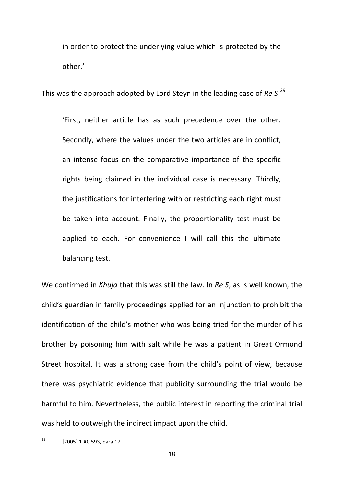in order to protect the underlying value which is protected by the other.'

This was the approach adopted by Lord Steyn in the leading case of *Re S*: 29

'First, neither article has as such precedence over the other. Secondly, where the values under the two articles are in conflict, an intense focus on the comparative importance of the specific rights being claimed in the individual case is necessary. Thirdly, the justifications for interfering with or restricting each right must be taken into account. Finally, the proportionality test must be applied to each. For convenience I will call this the ultimate balancing test.

We confirmed in *Khuja* that this was still the law. In *Re S*, as is well known, the child's guardian in family proceedings applied for an injunction to prohibit the identification of the child's mother who was being tried for the murder of his brother by poisoning him with salt while he was a patient in Great Ormond Street hospital. It was a strong case from the child's point of view, because there was psychiatric evidence that publicity surrounding the trial would be harmful to him. Nevertheless, the public interest in reporting the criminal trial was held to outweigh the indirect impact upon the child.

 $29$  [2005] 1 AC 593, para 17.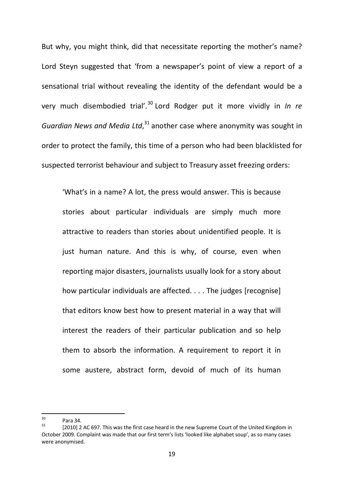But why, you might think, did that necessitate reporting the mother's name? Lord Steyn suggested that 'from a newspaper's point of view a report of a sensational trial without revealing the identity of the defendant would be a very much disembodied trial'. <sup>30</sup> Lord Rodger put it more vividly in *In re Guardian News and Media Ltd*, <sup>31</sup> another case where anonymity was sought in order to protect the family, this time of a person who had been blacklisted for suspected terrorist behaviour and subject to Treasury asset freezing orders:

'What's in a name? A lot, the press would answer. This is because stories about particular individuals are simply much more attractive to readers than stories about unidentified people. It is just human nature. And this is why, of course, even when reporting major disasters, journalists usually look for a story about how particular individuals are affected. . . . The judges [recognise] that editors know best how to present material in a way that will interest the readers of their particular publication and so help them to absorb the information. A requirement to report it in some austere, abstract form, devoid of much of its human

<sup>&</sup>lt;sup>30</sup> Para 34.<br><sup>31</sup> [2010] 2 AC 697. This was the first case heard in the new Supreme Court of the United Kingdom in October 2009. Complaint was made that our first term's lists 'looked like alphabet soup', as so many cases were anonymised.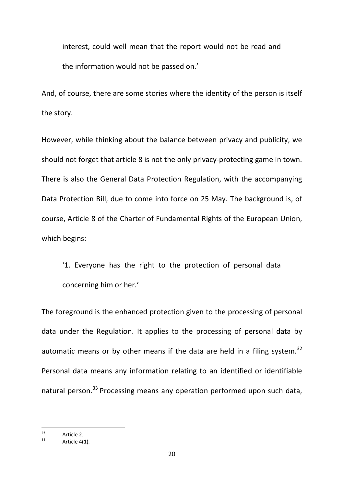interest, could well mean that the report would not be read and the information would not be passed on.'

And, of course, there are some stories where the identity of the person is itself the story.

However, while thinking about the balance between privacy and publicity, we should not forget that article 8 is not the only privacy-protecting game in town. There is also the General Data Protection Regulation, with the accompanying Data Protection Bill, due to come into force on 25 May. The background is, of course, Article 8 of the Charter of Fundamental Rights of the European Union, which begins:

'1. Everyone has the right to the protection of personal data concerning him or her.'

The foreground is the enhanced protection given to the processing of personal data under the Regulation. It applies to the processing of personal data by automatic means or by other means if the data are held in a filing system. $32$ Personal data means any information relating to an identified or identifiable natural person.<sup>33</sup> Processing means any operation performed upon such data,

 $32$  Article 2.<br> $33$  Article 4(1).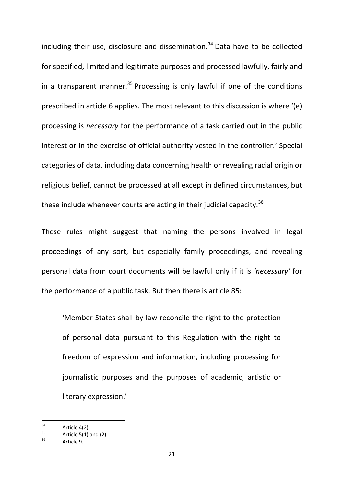including their use, disclosure and dissemination. $34$  Data have to be collected for specified, limited and legitimate purposes and processed lawfully, fairly and in a transparent manner.<sup>35</sup> Processing is only lawful if one of the conditions prescribed in article 6 applies. The most relevant to this discussion is where '(e) processing is *necessary* for the performance of a task carried out in the public interest or in the exercise of official authority vested in the controller.' Special categories of data, including data concerning health or revealing racial origin or religious belief, cannot be processed at all except in defined circumstances, but these include whenever courts are acting in their judicial capacity.<sup>36</sup>

These rules might suggest that naming the persons involved in legal proceedings of any sort, but especially family proceedings, and revealing personal data from court documents will be lawful only if it is *'necessary'* for the performance of a public task. But then there is article 85:

'Member States shall by law reconcile the right to the protection of personal data pursuant to this Regulation with the right to freedom of expression and information, including processing for journalistic purposes and the purposes of academic, artistic or literary expression.'

<sup>&</sup>lt;sup>34</sup> Article 4(2).<br><sup>35</sup> Article 5(1) and (2).<br><sup>36</sup> Article 9.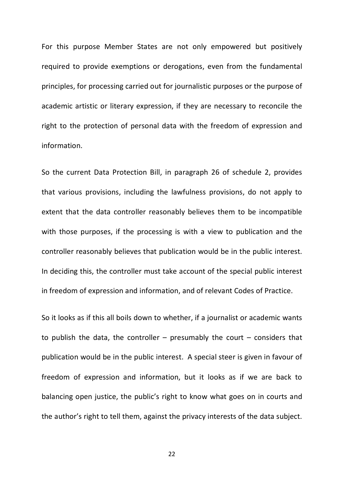For this purpose Member States are not only empowered but positively required to provide exemptions or derogations, even from the fundamental principles, for processing carried out for journalistic purposes or the purpose of academic artistic or literary expression, if they are necessary to reconcile the right to the protection of personal data with the freedom of expression and information.

So the current Data Protection Bill, in paragraph 26 of schedule 2, provides that various provisions, including the lawfulness provisions, do not apply to extent that the data controller reasonably believes them to be incompatible with those purposes, if the processing is with a view to publication and the controller reasonably believes that publication would be in the public interest. In deciding this, the controller must take account of the special public interest in freedom of expression and information, and of relevant Codes of Practice.

So it looks as if this all boils down to whether, if a journalist or academic wants to publish the data, the controller  $-$  presumably the court  $-$  considers that publication would be in the public interest. A special steer is given in favour of freedom of expression and information, but it looks as if we are back to balancing open justice, the public's right to know what goes on in courts and the author's right to tell them, against the privacy interests of the data subject.

22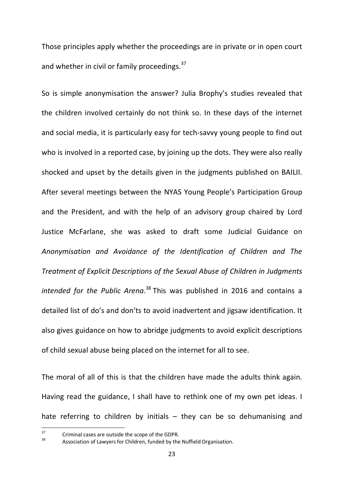Those principles apply whether the proceedings are in private or in open court and whether in civil or family proceedings.<sup>37</sup>

So is simple anonymisation the answer? Julia Brophy's studies revealed that the children involved certainly do not think so. In these days of the internet and social media, it is particularly easy for tech-savvy young people to find out who is involved in a reported case, by joining up the dots. They were also really shocked and upset by the details given in the judgments published on BAILII. After several meetings between the NYAS Young People's Participation Group and the President, and with the help of an advisory group chaired by Lord Justice McFarlane, she was asked to draft some Judicial Guidance on *Anonymisation and Avoidance of the Identification of Children and The Treatment of Explicit Descriptions of the Sexual Abuse of Children in Judgments intended for the Public Arena*. <sup>38</sup> This was published in 2016 and contains a detailed list of do's and don'ts to avoid inadvertent and jigsaw identification. It also gives guidance on how to abridge judgments to avoid explicit descriptions of child sexual abuse being placed on the internet for all to see.

The moral of all of this is that the children have made the adults think again. Having read the guidance, I shall have to rethink one of my own pet ideas. I hate referring to children by initials  $-$  they can be so dehumanising and

 $37$  Criminal cases are outside the scope of the GDPR.<br> $38$  Association of Lawyers for Children, funded by the Nuffield Organisation.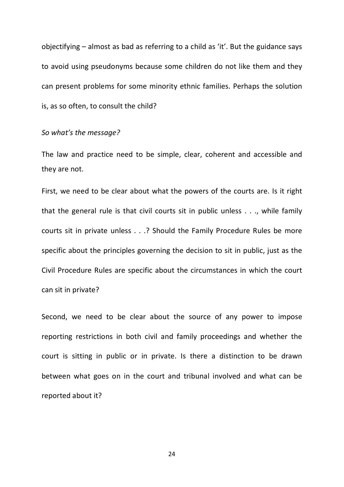objectifying – almost as bad as referring to a child as 'it'. But the guidance says to avoid using pseudonyms because some children do not like them and they can present problems for some minority ethnic families. Perhaps the solution is, as so often, to consult the child?

## *So what's the message?*

The law and practice need to be simple, clear, coherent and accessible and they are not.

First, we need to be clear about what the powers of the courts are. Is it right that the general rule is that civil courts sit in public unless . . ., while family courts sit in private unless . . .? Should the Family Procedure Rules be more specific about the principles governing the decision to sit in public, just as the Civil Procedure Rules are specific about the circumstances in which the court can sit in private?

Second, we need to be clear about the source of any power to impose reporting restrictions in both civil and family proceedings and whether the court is sitting in public or in private. Is there a distinction to be drawn between what goes on in the court and tribunal involved and what can be reported about it?

24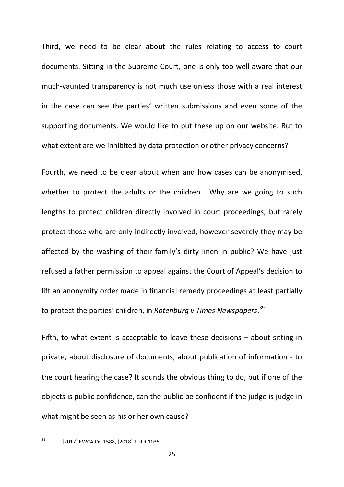Third, we need to be clear about the rules relating to access to court documents. Sitting in the Supreme Court, one is only too well aware that our much-vaunted transparency is not much use unless those with a real interest in the case can see the parties' written submissions and even some of the supporting documents. We would like to put these up on our website. But to what extent are we inhibited by data protection or other privacy concerns?

Fourth, we need to be clear about when and how cases can be anonymised, whether to protect the adults or the children. Why are we going to such lengths to protect children directly involved in court proceedings, but rarely protect those who are only indirectly involved, however severely they may be affected by the washing of their family's dirty linen in public? We have just refused a father permission to appeal against the Court of Appeal's decision to lift an anonymity order made in financial remedy proceedings at least partially to protect the parties' children, in *Rotenburg v Times Newspapers*. 39

Fifth, to what extent is acceptable to leave these decisions – about sitting in private, about disclosure of documents, about publication of information - to the court hearing the case? It sounds the obvious thing to do, but if one of the objects is public confidence, can the public be confident if the judge is judge in what might be seen as his or her own cause?

 <sup>39</sup> [2017] EWCA Civ 1588, [2018] 1 FLR 1035.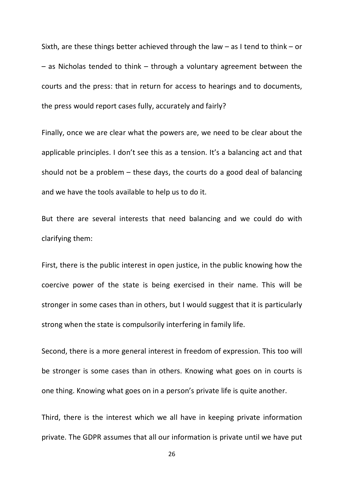Sixth, are these things better achieved through the law  $-$  as I tend to think  $-$  or – as Nicholas tended to think – through a voluntary agreement between the courts and the press: that in return for access to hearings and to documents, the press would report cases fully, accurately and fairly?

Finally, once we are clear what the powers are, we need to be clear about the applicable principles. I don't see this as a tension. It's a balancing act and that should not be a problem – these days, the courts do a good deal of balancing and we have the tools available to help us to do it.

But there are several interests that need balancing and we could do with clarifying them:

First, there is the public interest in open justice, in the public knowing how the coercive power of the state is being exercised in their name. This will be stronger in some cases than in others, but I would suggest that it is particularly strong when the state is compulsorily interfering in family life.

Second, there is a more general interest in freedom of expression. This too will be stronger is some cases than in others. Knowing what goes on in courts is one thing. Knowing what goes on in a person's private life is quite another.

Third, there is the interest which we all have in keeping private information private. The GDPR assumes that all our information is private until we have put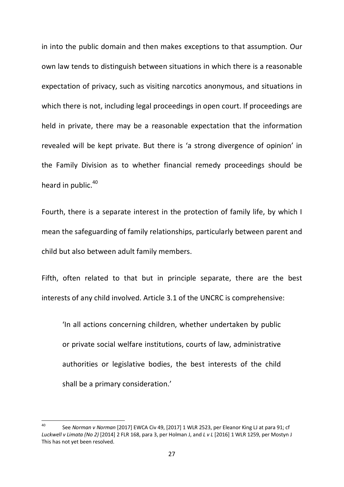in into the public domain and then makes exceptions to that assumption. Our own law tends to distinguish between situations in which there is a reasonable expectation of privacy, such as visiting narcotics anonymous, and situations in which there is not, including legal proceedings in open court. If proceedings are held in private, there may be a reasonable expectation that the information revealed will be kept private. But there is 'a strong divergence of opinion' in the Family Division as to whether financial remedy proceedings should be heard in public.<sup>40</sup>

Fourth, there is a separate interest in the protection of family life, by which I mean the safeguarding of family relationships, particularly between parent and child but also between adult family members.

Fifth, often related to that but in principle separate, there are the best interests of any child involved. Article 3.1 of the UNCRC is comprehensive:

'In all actions concerning children, whether undertaken by public or private social welfare institutions, courts of law, administrative authorities or legislative bodies, the best interests of the child shall be a primary consideration.'

 <sup>40</sup> See *Norman v Norman* [2017] EWCA Civ 49, [2017] 1 WLR 2523, per Eleanor King LJ at para 91; cf *Luckwell v Limata (No 2)* [2014] 2 FLR 168, para 3, per Holman J, and *L v L* [2016] 1 WLR 1259, per Mostyn J This has not yet been resolved.